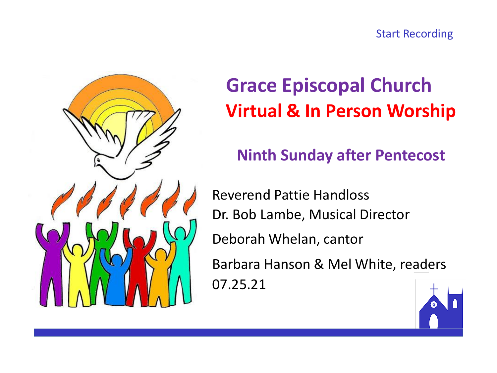



# **Grace Episcopal Church Virtual & In Person Worship**

## **Ninth Sunday after Pentecost**

Reverend Pattie Handloss Dr. Bob Lambe, Musical Director Deborah Whelan, cantor Barbara Hanson & Mel White, readers 07.25.21

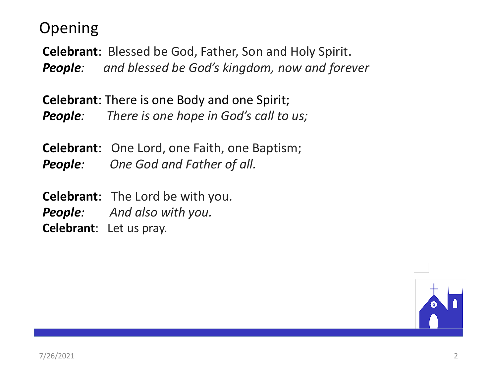### Opening

**Celebrant**: Blessed be God, Father, Son and Holy Spirit. *People: and blessed be God's kingdom, now and forever*

**Celebrant**: There is one Body and one Spirit; *People: There is one hope in God's call to us;*

**Celebrant**: One Lord, one Faith, one Baptism; *People: One God and Father of all.*

**Celebrant**: The Lord be with you. *People: And also with you.* **Celebrant**: Let us pray.

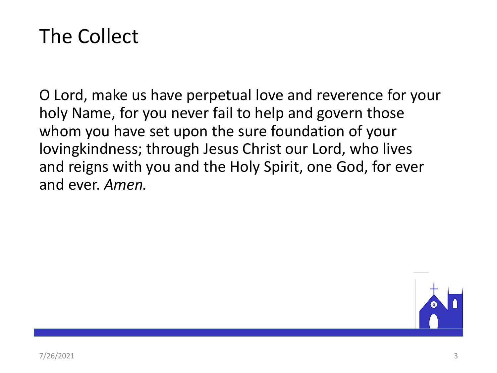# The Collect

O Lord, make us have perpetual love and reverence for your holy Name, for you never fail to help and govern those whom you have set upon the sure foundation of your lovingkindness; through Jesus Christ our Lord, who lives and reigns with you and the Holy Spirit, one God, for ever and ever. *Amen.*

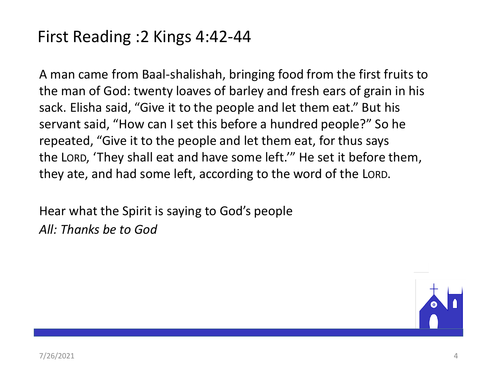## First Reading :2 Kings 4:42-44

A man came from Baal-shalishah, bringing food from the first fruits to the man of God: twenty loaves of barley and fresh ears of grain in his sack. Elisha said, "Give it to the people and let them eat." But his servant said, "How can I set this before a hundred people?" So he repeated, "Give it to the people and let them eat, for thus says the LORD, 'They shall eat and have some left.'" He set it before them, they ate, and had some left, according to the word of the LORD.

Hear what the Spirit is saying to God's people *All: Thanks be to God*

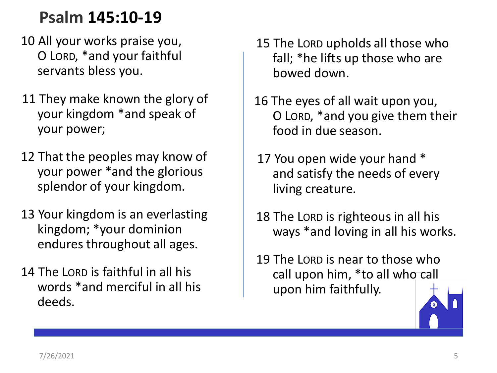## **Psalm 145:10-19**

- 10 All your works praise you, O LORD, \*and your faithful servants bless you.
- 11 They make known the glory of your kingdom \*and speak of your power;
- 12 That the peoples may know of your power \*and the glorious splendor of your kingdom.
- 13 Your kingdom is an everlasting kingdom; \*your dominion endures throughout all ages.
- 14 The LORD is faithful in all his words \*and merciful in all his deeds.
- 15 The LORD upholds all those who fall; \*he lifts up those who are bowed down.
- 16 The eyes of all wait upon you, O LORD, \*and you give them their food in due season.
- 17 You open wide your hand \* and satisfy the needs of every living creature.
- 18 The LORD is righteous in all his ways \*and loving in all his works.
- 19 The LORD is near to those who call upon him, \*to all who call upon him faithfully.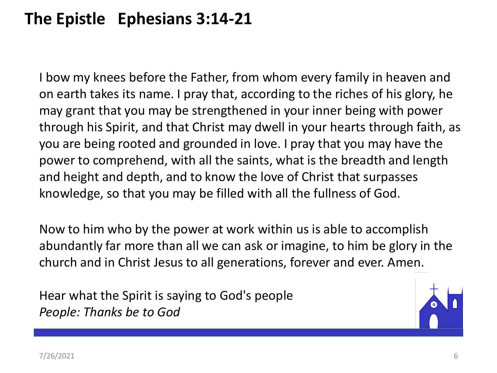# **The Epistle Ephesians 3:14-21**

I bow my knees before the Father, from whom every family in heaven and on earth takes its name. I pray that, according to the riches of his glory, he may grant that you may be strengthened in your inner being with power through his Spirit, and that Christ may dwell in your hearts through faith, as you are being rooted and grounded in love. I pray that you may have the power to comprehend, with all the saints, what is the breadth and length and height and depth, and to know the love of Christ that surpasses knowledge, so that you may be filled with all the fullness of God.

Now to him who by the power at work within us is able to accomplish abundantly far more than all we can ask or imagine, to him be glory in the church and in Christ Jesus to all generations, forever and ever. Amen.

Hear what the Spirit is saying to God's people *People: Thanks be to God*

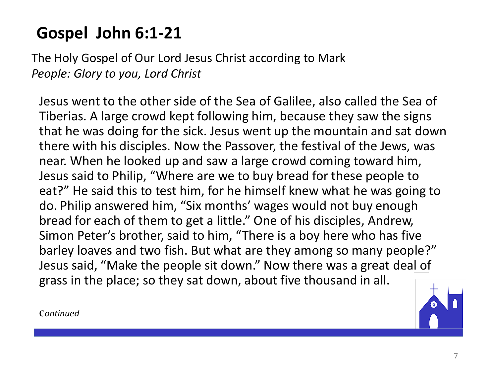# **Gospel John 6:1-21**

The Holy Gospel of Our Lord Jesus Christ according to Mark *People: Glory to you, Lord Christ*

Jesus went to the other side of the Sea of Galilee, also called the Sea of Tiberias. A large crowd kept following him, because they saw the signs that he was doing for the sick. Jesus went up the mountain and sat down there with his disciples. Now the Passover, the festival of the Jews, was near. When he looked up and saw a large crowd coming toward him, Jesus said to Philip, "Where are we to buy bread for these people to eat?" He said this to test him, for he himself knew what he was going to do. Philip answered him, "Six months' wages would not buy enough bread for each of them to get a little." One of his disciples, Andrew, Simon Peter's brother, said to him, "There is a boy here who has five barley loaves and two fish. But what are they among so many people?" Jesus said, "Make the people sit down." Now there was a great deal of grass in the place; so they sat down, about five thousand in all.

c*ontinued*

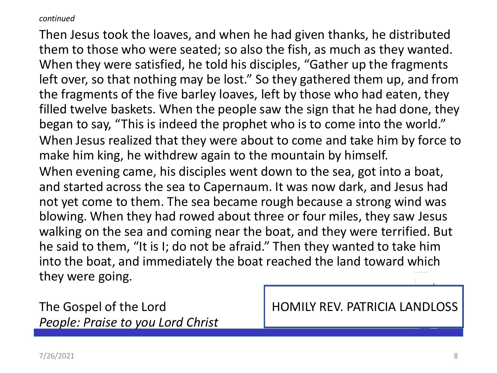#### *continued*

Then Jesus took the loaves, and when he had given thanks, he distributed them to those who were seated; so also the fish, as much as they wanted. When they were satisfied, he told his disciples, "Gather up the fragments left over, so that nothing may be lost." So they gathered them up, and from the fragments of the five barley loaves, left by those who had eaten, they filled twelve baskets. When the people saw the sign that he had done, they began to say, "This is indeed the prophet who is to come into the world." When Jesus realized that they were about to come and take him by force to make him king, he withdrew again to the mountain by himself. When evening came, his disciples went down to the sea, got into a boat, and started across the sea to Capernaum. It was now dark, and Jesus had not yet come to them. The sea became rough because a strong wind was blowing. When they had rowed about three or four miles, they saw Jesus walking on the sea and coming near the boat, and they were terrified. But he said to them, "It is I; do not be afraid." Then they wanted to take him into the boat, and immediately the boat reached the land toward which they were going.

*People: Praise to you Lord Christ*

The Gospel of the Lord **HOMILY REV. PATRICIA LANDLOSS**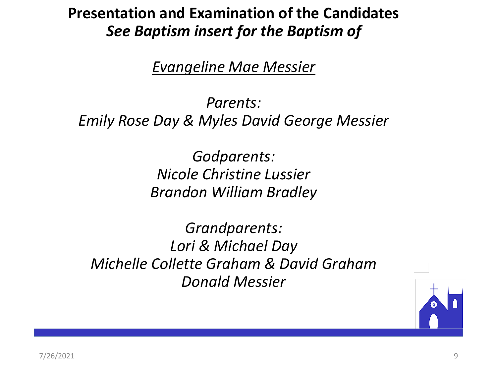### **Presentation and Examination of the Candidates** *See Baptism insert for the Baptism of*

*Evangeline Mae Messier*

*Parents: Emily Rose Day & Myles David George Messier*

> *Godparents: Nicole Christine Lussier Brandon William Bradley*

*Grandparents: Lori & Michael Day Michelle Collette Graham & David Graham Donald Messier*

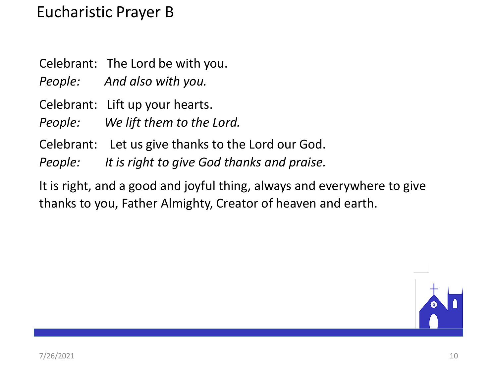### Eucharistic Prayer B

Celebrant: The Lord be with you.

*People: And also with you.*

Celebrant: Lift up your hearts.

*People: We lift them to the Lord.*

- Celebrant: Let us give thanks to the Lord our God.
- *People: It is right to give God thanks and praise.*

It is right, and a good and joyful thing, always and everywhere to give thanks to you, Father Almighty, Creator of heaven and earth.

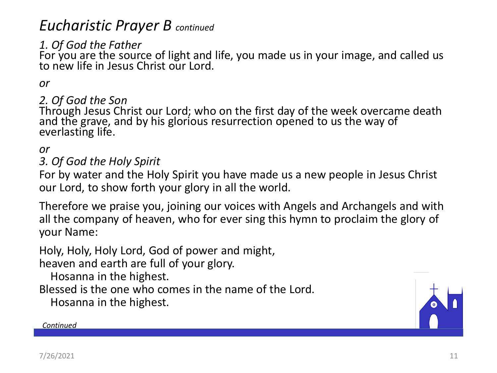### *Eucharistic Prayer B continued*

### *1. Of God the Father*

For you are the source of light and life, you made us in your image, and called us to new life in Jesus Christ our Lord.

#### *or*

#### *2. Of God the Son*

Through Jesus Christ our Lord; who on the first day of the week overcame death and the grave, and by his glorious resurrection opened to us the way of everlasting life.

#### *or*

#### *3. Of God the Holy Spirit*

For by water and the Holy Spirit you have made us a new people in Jesus Christ our Lord, to show forth your glory in all the world.

Therefore we praise you, joining our voices with Angels and Archangels and with all the company of heaven, who for ever sing this hymn to proclaim the glory of your Name:

Holy, Holy, Holy Lord, God of power and might,

heaven and earth are full of your glory.

Hosanna in the highest.

Blessed is the one who comes in the name of the Lord.

Hosanna in the highest.



#### *Continued*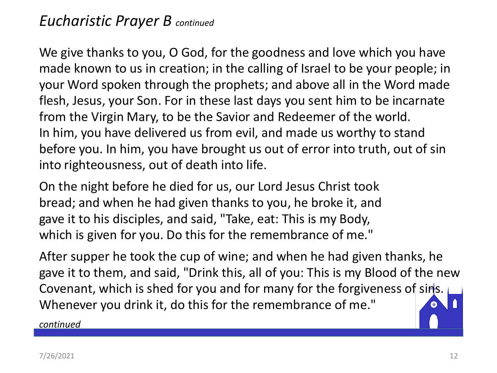### *Eucharistic Prayer B continued*

We give thanks to you, O God, for the goodness and love which you have made known to us in creation; in the calling of Israel to be your people; in your Word spoken through the prophets; and above all in the Word made flesh, Jesus, your Son. For in these last days you sent him to be incarnate from the Virgin Mary, to be the Savior and Redeemer of the world. In him, you have delivered us from evil, and made us worthy to stand before you. In him, you have brought us out of error into truth, out of sin into righteousness, out of death into life.

On the night before he died for us, our Lord Jesus Christ took bread; and when he had given thanks to you, he broke it, and gave it to his disciples, and said, "Take, eat: This is my Body, which is given for you. Do this for the remembrance of me."

After supper he took the cup of wine; and when he had given thanks, he gave it to them, and said, "Drink this, all of you: This is my Blood of the new Covenant, which is shed for you and for many for the forgiveness of sins. Whenever you drink it, do this for the remembrance of me."

*continued*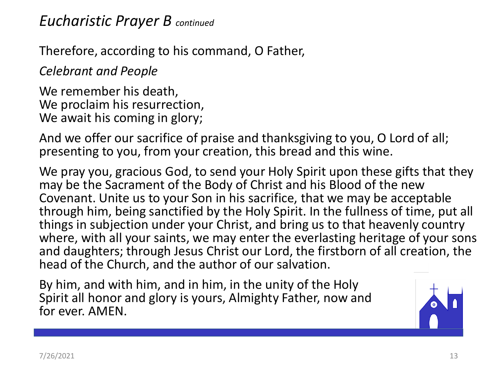### *Eucharistic Prayer B continued*

Therefore, according to his command, O Father,

*Celebrant and People*

We remember his death, We proclaim his resurrection, We await his coming in glory;

And we offer our sacrifice of praise and thanksgiving to you, O Lord of all; presenting to you, from your creation, this bread and this wine.

We pray you, gracious God, to send your Holy Spirit upon these gifts that they may be the Sacrament of the Body of Christ and his Blood of the new Covenant. Unite us to your Son in his sacrifice, that we may be acceptable through him, being sanctified by the Holy Spirit. In the fullness of time, put all things in subjection under your Christ, and bring us to that heavenly country where, with all your saints, we may enter the everlasting heritage of your sons and daughters; through Jesus Christ our Lord, the firstborn of all creation, the head of the Church, and the author of our salvation.

By him, and with him, and in him, in the unity of the Holy Spirit all honor and glory is yours, Almighty Father, now and for ever. AMEN.

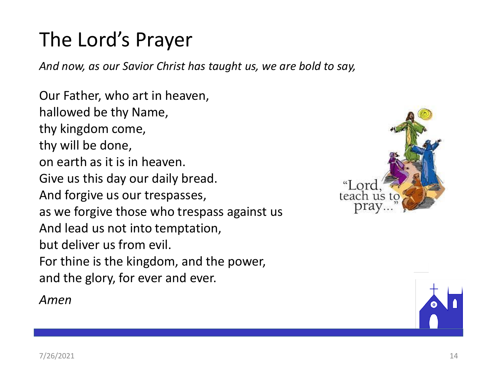# The Lord's Prayer

*And now, as our Savior Christ has taught us, we are bold to say,*

Our Father, who art in heaven, hallowed be thy Name, thy kingdom come, thy will be done, on earth as it is in heaven. Give us this day our daily bread. And forgive us our trespasses, as we forgive those who trespass against us And lead us not into temptation, but deliver us from evil. For thine is the kingdom, and the power, and the glory, for ever and ever.

*Amen*



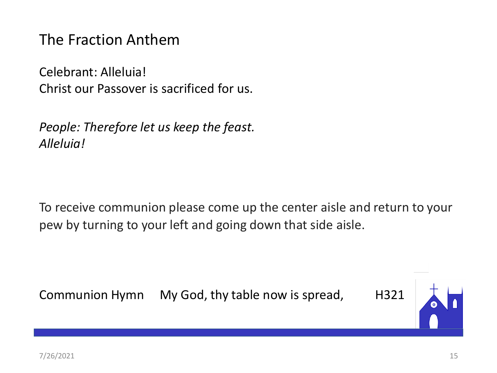The Fraction Anthem

Celebrant: Alleluia! Christ our Passover is sacrificed for us.

*People: Therefore let us keep the feast. Alleluia!* 

To receive communion please come up the center aisle and return to your pew by turning to your left and going down that side aisle.

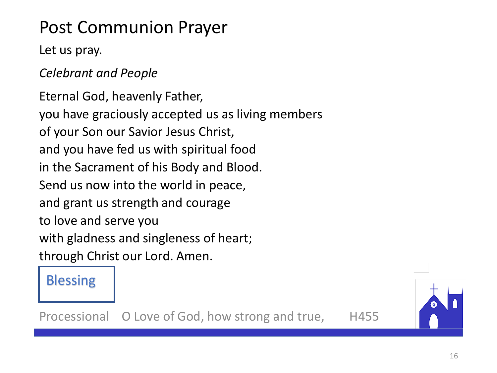# Post Communion Prayer

### Let us pray.

*Celebrant and People*

Eternal God, heavenly Father, you have graciously accepted us as living members of your Son our Savior Jesus Christ, and you have fed us with spiritual food in the Sacrament of his Body and Blood. Send us now into the world in peace, and grant us strength and courage to love and serve you with gladness and singleness of heart; through Christ our Lord. Amen.

### Blessing

Processional O Love of God, how strong and true, H455